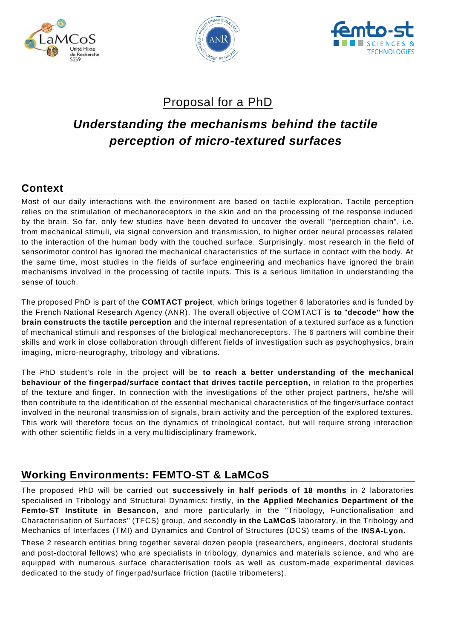





## Proposal for a PhD

# *Understanding the mechanisms behind the tactile perception of micro-textured surfaces*

## **Context**

Most of our daily interactions with the environment are based on tactile exploration. Tactile perception relies on the stimulation of mechanoreceptors in the skin and on the processing of the response induced by the brain. So far, only few studies have been devoted to uncover the overall "perception chain", i.e. from mechanical stimuli, via signal conversion and transmission, to higher order neural processes related to the interaction of the human body with the touched surface. Surprisingly, most research in the field of sensorimotor control has ignored the mechanical characteristics of the surface in contact with the body. At the same time, most studies in the fields of surface engineering and mechanics have ignored the brain mechanisms involved in the processing of tactile inputs. This is a serious limitation in understanding the sense of touch.

The proposed PhD is part of the **COMTACT project**, which brings together 6 laboratories and is funded by the French National Research Agency (ANR). The overall objective of COMTACT is **to** "**decode" how the brain constructs the tactile perception** and the internal representation of a textured surface as a function of mechanical stimuli and responses of the biological mechanoreceptors. The 6 partners will combine their skills and work in close collaboration through different fields of investigation such as psychophysics, brain imaging, micro-neurography, tribology and vibrations.

The PhD student's role in the project will be **to reach a better understanding of the mechanical behaviour of the fingerpad/surface contact that drives tactile perception**, in relation to the properties of the texture and finger. In connection with the investigations of the other project partners, he/she will then contribute to the identification of the essential mechanical characteristics of the finger/surface contact involved in the neuronal transmission of signals, brain activity and the perception of the explored textures. This work will therefore focus on the dynamics of tribological contact, but will require strong interaction with other scientific fields in a very multidisciplinary framework.

## **Working Environments: FEMTO-ST & LaMCoS**

The proposed PhD will be carried out **successively in half periods of 18 months** in 2 laboratories specialised in Tribology and Structural Dynamics: firstly, **in the Applied Mechanics Department of the Femto-ST Institute in Besancon**, and more particularly in the "Tribology, Functionalisation and Characterisation of Surfaces" (TFCS) group, and secondly **in the LaMCoS** laboratory, in the Tribology and Mechanics of Interfaces (TMI) and Dynamics and Control of Structures (DCS) teams of the **INSA-Lyon**.

These 2 research entities bring together several dozen people (researchers, engineers, doctoral students and post-doctoral fellows) who are specialists in tribology, dynamics and materials sc ience, and who are equipped with numerous surface characterisation tools as well as custom-made experimental devices dedicated to the study of fingerpad/surface friction (tactile tribometers).